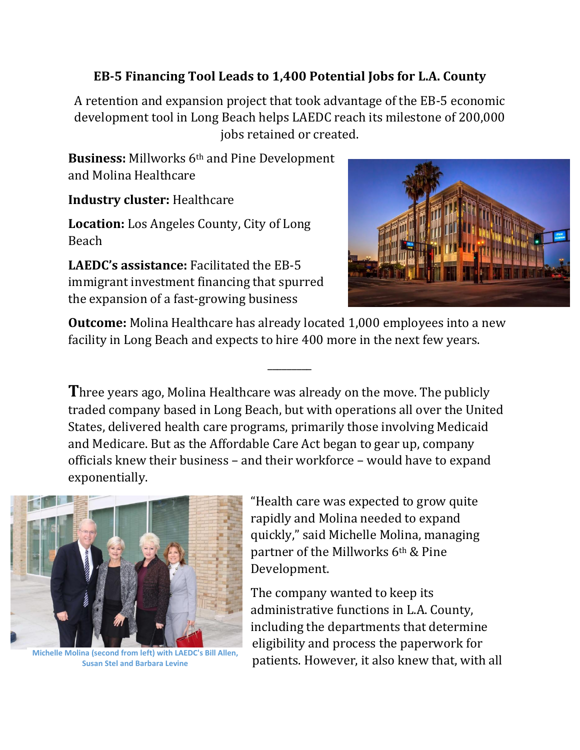## **EB-5 Financing Tool Leads to 1,400 Potential Jobs for L.A. County**

A retention and expansion project that took advantage of the EB-5 economic development tool in Long Beach helps LAEDC reach its milestone of 200,000 jobs retained or created.

**Business:** Millworks 6th and Pine Development and Molina Healthcare

**Industry cluster:** Healthcare

**Location:** Los Angeles County, City of Long Beach

**LAEDC's assistance:** Facilitated the EB-5 immigrant investment financing that spurred the expansion of a fast-growing business



**Outcome:** Molina Healthcare has already located 1,000 employees into a new facility in Long Beach and expects to hire 400 more in the next few years.

\_\_\_\_\_\_\_\_\_

**T**hree years ago, Molina Healthcare was already on the move. The publicly traded company based in Long Beach, but with operations all over the United States, delivered health care programs, primarily those involving Medicaid and Medicare. But as the Affordable Care Act began to gear up, company officials knew their business – and their workforce – would have to expand exponentially.



**Susan Stel and Barbara Levine**

"Health care was expected to grow quite rapidly and Molina needed to expand quickly," said Michelle Molina, managing partner of the Millworks 6th & Pine Development.

The company wanted to keep its administrative functions in L.A. County, including the departments that determine eligibility and process the paperwork for Michelle Molina (second from left) with LAEDC's Bill Allen,<br>Susan Stel and Barbara Levine patients. However, it also knew that, with all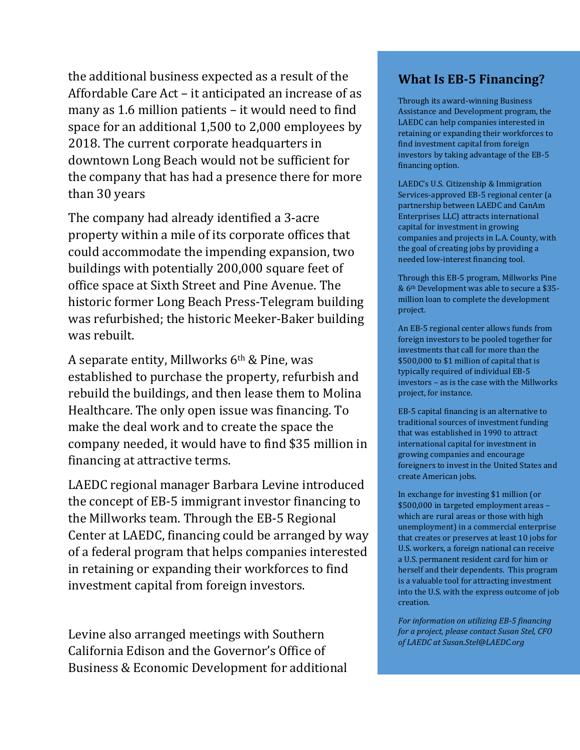the additional business expected as a result of the Affordable Care Act – it anticipated an increase of as many as 1.6 million patients – it would need to find space for an additional 1,500 to 2,000 employees by 2018. The current corporate headquarters in downtown Long Beach would not be sufficient for the company that has had a presence there for more than 30 years

The company had already identified a 3-acre property within a mile of its corporate offices that could accommodate the impending expansion, two buildings with potentially 200,000 square feet of office space at Sixth Street and Pine Avenue. The historic former Long Beach Press-Telegram building was refurbished; the historic Meeker-Baker building was rebuilt.

A separate entity, Millworks  $6<sup>th</sup>$  & Pine, was established to purchase the property, refurbish and rebuild the buildings, and then lease them to Molina Healthcare. The only open issue was financing. To make the deal work and to create the space the company needed, it would have to find \$35 million in financing at attractive terms.

LAEDC regional manager Barbara Levine introduced the concept of EB-5 immigrant investor financing to the Millworks team. Through the EB-5 Regional Center at LAEDC, financing could be arranged by way of a federal program that helps companies interested in retaining or expanding their workforces to find investment capital from foreign investors.

Levine also arranged meetings with Southern California Edison and the Governor's Office of Business & Economic Development for additional

## **What Is EB-5 Financing?**

Through its award-winning Business Assistance and Development program, the LAEDC can help companies interested in retaining or expanding their workforces to find investment capital from foreign investors by taking advantage of the EB-5 financing option.

LAEDC's U.S. Citizenship & Immigration Services-approved EB-5 regional center (a partnership between LAEDC and CanAm Enterprises LLC) attracts international capital for investment in growing companies and projects in L.A. County, with the goal of creating jobs by providing a needed low-interest financing tool.

Through this EB-5 program, Millworks Pine & 6th Development was able to secure a \$35 million loan to complete the development project.

An EB-5 regional center allows funds from foreign investors to be pooled together for investments that call for more than the \$500,000 to \$1 million of capital that is typically required of individual EB-5 investors – as is the case with the Millworks project, for instance.

EB-5 capital financing is an alternative to traditional sources of investment funding that was established in 1990 to attract international capital for investment in growing companies and encourage foreigners to invest in the United States and create American jobs.

In exchange for investing \$1 million (or \$500,000 in targeted employment areas – which are rural areas or those with high unemployment) in a commercial enterprise that creates or preserves at least 10 jobs for U.S. workers, a foreign national can receive a U.S. permanent resident card for him or herself and their dependents. This program is a valuable tool for attracting investment into the U.S. with the express outcome of job creation.

*For information on utilizing EB-5 financing for a project, please contact Susan Stel, CFO of LAEDC at Susan.Stel@LAEDC.org*